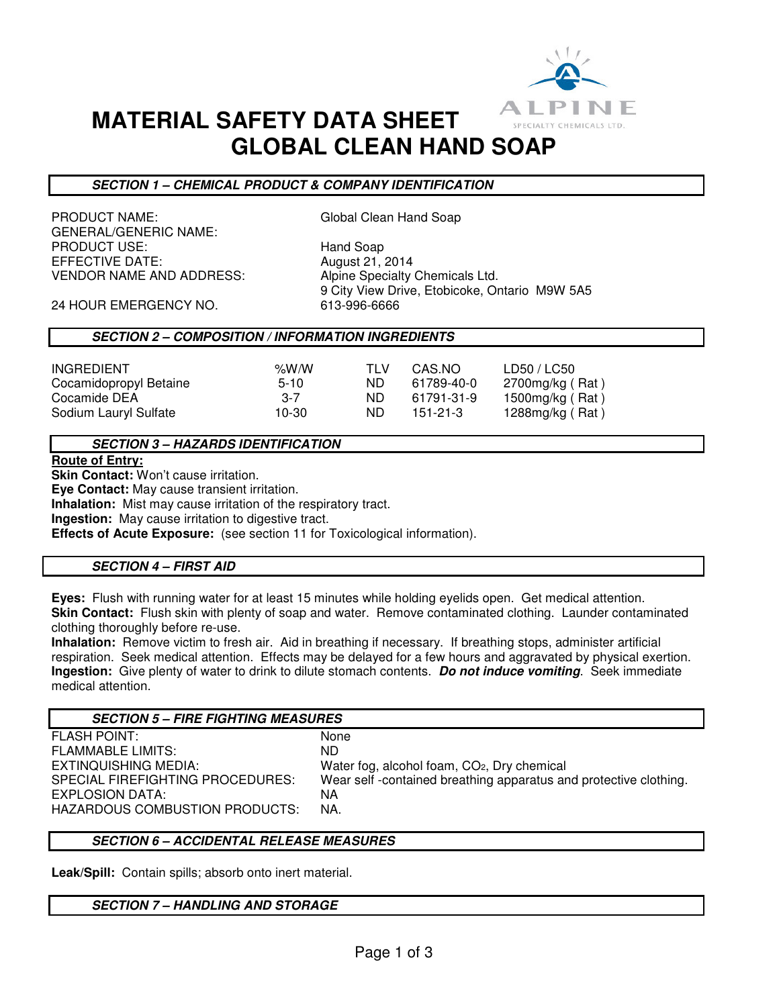

## **MATERIAL SAFETY DATA SHEET GLOBAL CLEAN HAND SOAP**

### **SECTION 1 – CHEMICAL PRODUCT & COMPANY IDENTIFICATION**

PRODUCT NAME: Global Clean Hand Soap GENERAL/GENERIC NAME: PRODUCT USE: Hand Soap EFFECTIVE DATE:  $\frac{1}{2014}$ VENDOR NAME AND ADDRESS: Alpine Specialty Chemicals Ltd.

9 City View Drive, Etobicoke, Ontario M9W 5A5

24 HOUR EMERGENCY NO. 613-996-6666

### **SECTION 2 – COMPOSITION / INFORMATION INGREDIENTS**

### **SECTION 3 – HAZARDS IDENTIFICATION**

**Route of Entry:** 

**Skin Contact:** Won't cause irritation.

**Eye Contact:** May cause transient irritation. **Inhalation:** Mist may cause irritation of the respiratory tract.

**Ingestion:** May cause irritation to digestive tract.

**Effects of Acute Exposure:** (see section 11 for Toxicological information).

### **SECTION 4 – FIRST AID**

**Eyes:** Flush with running water for at least 15 minutes while holding eyelids open. Get medical attention. **Skin Contact:** Flush skin with plenty of soap and water. Remove contaminated clothing. Launder contaminated clothing thoroughly before re-use.

**Inhalation:** Remove victim to fresh air. Aid in breathing if necessary. If breathing stops, administer artificial respiration. Seek medical attention. Effects may be delayed for a few hours and aggravated by physical exertion. **Ingestion:** Give plenty of water to drink to dilute stomach contents. **Do not induce vomiting**. Seek immediate medical attention.

### **SECTION 5 – FIRE FIGHTING MEASURES**

FLASH POINT: None FLAMMABLE LIMITS: ND EXTINQUISHING MEDIA: Water fog, alcohol foam, CO<sub>2</sub>, Dry chemical SPECIAL FIREFIGHTING PROCEDURES: Wear self -contained breathing apparatus and protective clothing. EXPLOSION DATA: NA HAZARDOUS COMBUSTION PRODUCTS: NA.

### **SECTION 6 – ACCIDENTAL RELEASE MEASURES**

**Leak/Spill:** Contain spills; absorb onto inert material.

### **SECTION 7 – HANDLING AND STORAGE**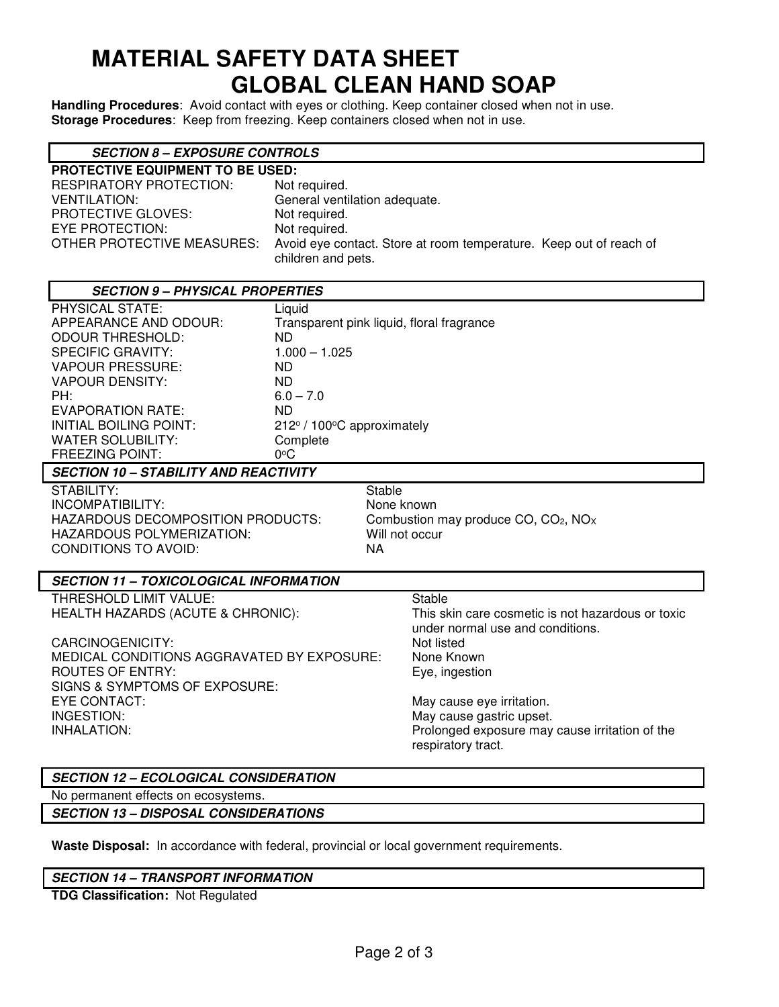# **MATERIAL SAFETY DATA SHEET GLOBAL CLEAN HAND SOAP**

**Handling Procedures**: Avoid contact with eyes or clothing. Keep container closed when not in use. **Storage Procedures**: Keep from freezing. Keep containers closed when not in use.

| <b>SECTION 8 – EXPOSURE CONTROLS</b> |  |  |
|--------------------------------------|--|--|
|--------------------------------------|--|--|

| PROTECTIVE EQUIPMENT TO BE USED: |                                                                                          |
|----------------------------------|------------------------------------------------------------------------------------------|
| RESPIRATORY PROTECTION:          | Not required.                                                                            |
| VENTILATION:                     | General ventilation adequate.                                                            |
| PROTECTIVE GLOVES:               | Not required.                                                                            |
| EYE PROTECTION:                  | Not required.                                                                            |
| OTHER PROTECTIVE MEASURES:       | Avoid eye contact. Store at room temperature. Keep out of reach of<br>children and pets. |

| <b>SECTION 9 - PHYSICAL PROPERTIES</b>        |                                           |            |                                                              |  |
|-----------------------------------------------|-------------------------------------------|------------|--------------------------------------------------------------|--|
| PHYSICAL STATE:                               | Liquid                                    |            |                                                              |  |
| APPEARANCE AND ODOUR:                         | Transparent pink liquid, floral fragrance |            |                                                              |  |
| <b>ODOUR THRESHOLD:</b>                       | ND.                                       |            |                                                              |  |
| <b>SPECIFIC GRAVITY:</b>                      | $1.000 - 1.025$                           |            |                                                              |  |
| <b>VAPOUR PRESSURE:</b>                       | <b>ND</b>                                 |            |                                                              |  |
| <b>VAPOUR DENSITY:</b>                        | <b>ND</b>                                 |            |                                                              |  |
| PH:                                           | $6.0 - 7.0$                               |            |                                                              |  |
| <b>EVAPORATION RATE:</b>                      | ND.                                       |            |                                                              |  |
| INITIAL BOILING POINT:                        | 212° / 100°C approximately                |            |                                                              |  |
| <b>WATER SOLUBILITY:</b>                      | Complete                                  |            |                                                              |  |
| <b>FREEZING POINT:</b>                        | $0^{\circ}$ C                             |            |                                                              |  |
| <b>SECTION 10 - STABILITY AND REACTIVITY</b>  |                                           |            |                                                              |  |
| STABILITY:                                    |                                           | Stable     |                                                              |  |
| INCOMPATIBILITY:                              |                                           | None known |                                                              |  |
| <b>HAZARDOUS DECOMPOSITION PRODUCTS:</b>      |                                           |            | Combustion may produce CO, CO <sub>2</sub> , NO <sub>x</sub> |  |
| HAZARDOUS POLYMERIZATION:<br>Will not occur   |                                           |            |                                                              |  |
| <b>CONDITIONS TO AVOID:</b>                   |                                           | NA         |                                                              |  |
|                                               |                                           |            |                                                              |  |
| <b>SECTION 11 - TOXICOLOGICAL INFORMATION</b> |                                           |            |                                                              |  |
| THRESHOLD LIMIT VALUE:                        |                                           |            | <b>Stable</b>                                                |  |
| HEALTH HAZARDS (ACUTE & CHRONIC):             |                                           |            | This skin care cosmetic is not hazardous or toxic            |  |
|                                               |                                           |            | under normal use and conditions.                             |  |
| CARCINOGENICITY:                              |                                           |            | Not listed                                                   |  |
| MEDICAL CONDITIONS AGGRAVATED BY EXPOSURE:    |                                           | None Known |                                                              |  |
| <b>ROUTES OF ENTRY:</b>                       |                                           |            | Eye, ingestion                                               |  |

EYE CONTACT: The contract of the contract of the contract of the May cause eye irritation. INGESTION: May cause gastric upset. Prolonged exposure may cause irritation of the respiratory tract.

### **SECTION 12 – ECOLOGICAL CONSIDERATION**

No permanent effects on ecosystems.

SIGNS & SYMPTOMS OF EXPOSURE:

**SECTION 13 – DISPOSAL CONSIDERATIONS** 

**Waste Disposal:** In accordance with federal, provincial or local government requirements.

### **SECTION 14 – TRANSPORT INFORMATION**

**TDG Classification:** Not Regulated